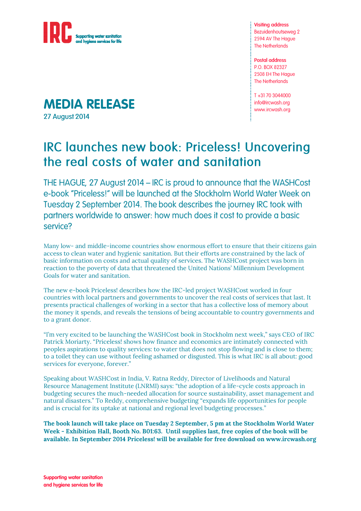

**MEDIA RELEASE** 

**27 August 2014** 

**Visiting address** Bezuidenhoutseweg 2 2594 AV The Haque **The Netherlands** 

**Postal address** P.O. BOX 82327 2508 EH The Hague **The Netherlands** 

T+31703044000 info@ircwash.org www.ircwash.org

## **IRC launches new book: Priceless! Uncovering** the real costs of water and sanitation

THE HAGUE, 27 August 2014 – IRC is proud to announce that the WASHCost e-book "Priceless!" will be launched at the Stockholm World Water Week on Tuesday 2 September 2014. The book describes the journey IRC took with partners worldwide to answer: how much does it cost to provide a basic service?

Many low- and middle-income countries show enormous effort to ensure that their citizens gain access to clean water and hygienic sanitation. But their efforts are constrained by the lack of basic information on costs and actual quality of services. The WASHCost project was born in reaction to the poverty of data that threatened the United Nations' Millennium Development Goals for water and sanitation.

The new e-book Priceless! describes how the IRC-led project WASHCost worked in four countries with local partners and governments to uncover the real costs of services that last. It presents practical challenges of working in a sector that has a collective loss of memory about the money it spends, and reveals the tensions of being accountable to country governments and to a grant donor.

"I'm very excited to be launching the WASHCost book in Stockholm next week," says CEO of IRC Patrick Moriarty. "Priceless! shows how finance and economics are intimately connected with peoples aspirations to quality services: to water that does not stop flowing and is close to them; to a toilet they can use without feeling ashamed or disgusted. This is what IRC is all about: good services for everyone, forever."

Speaking about WASHCost in India, V. Ratna Reddy, Director of Livelihoods and Natural Resource Management Institute (LNRMI) says: "the adoption of a life-cycle costs approach in budgeting secures the much-needed allocation for source sustainability, asset management and natural disasters." To Reddy, comprehensive budgeting "expands life opportunities for people and is crucial for its uptake at national and regional level budgeting processes."

**The book launch will take place on Tuesday 2 September, 5 pm at the Stockholm World Water Week - Exhibition Hall, Booth No. B01:63. Until supplies last, free copies of the book will be available. In September 2014 Priceless! will be available for free download on [www.ircwash.org](http://www.ircwash.org/)**